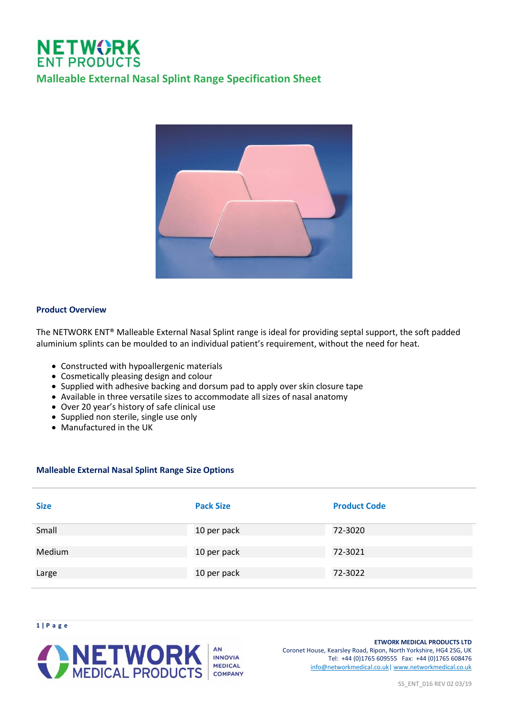# **NETWORK**<br>ENT PRODUCTS **Malleable External Nasal Splint Range Specification Sheet**



# **Product Overview**

The NETWORK ENT® Malleable External Nasal Splint range is ideal for providing septal support, the soft padded aluminium splints can be moulded to an individual patient's requirement, without the need for heat.

- Constructed with hypoallergenic materials
- Cosmetically pleasing design and colour
- Supplied with adhesive backing and dorsum pad to apply over skin closure tape
- Available in three versatile sizes to accommodate all sizes of nasal anatomy
- Over 20 year's history of safe clinical use
- Supplied non sterile, single use only
- Manufactured in the UK

# **Malleable External Nasal Splint Range Size Options**

| <b>Size</b> | <b>Pack Size</b> | <b>Product Code</b> |
|-------------|------------------|---------------------|
| Small       | 10 per pack      | 72-3020             |
| Medium      | 10 per pack      | 72-3021             |
| Large       | 10 per pack      | 72-3022             |





#### **ETWORK MEDICAL PRODUCTS LTD** Coronet House, Kearsley Road, Ripon, North Yorkshire, HG4 2SG, UK Tel: +44 (0)1765 609555 Fax: +44 (0)1765 608476 [info@networkmedical.co.uk|](mailto:info@networkmedical.co.uk) [www.networkmedical.co.uk](http://www.networkmedical.co.uk/)

SS\_ENT\_016 REV 02 03/19